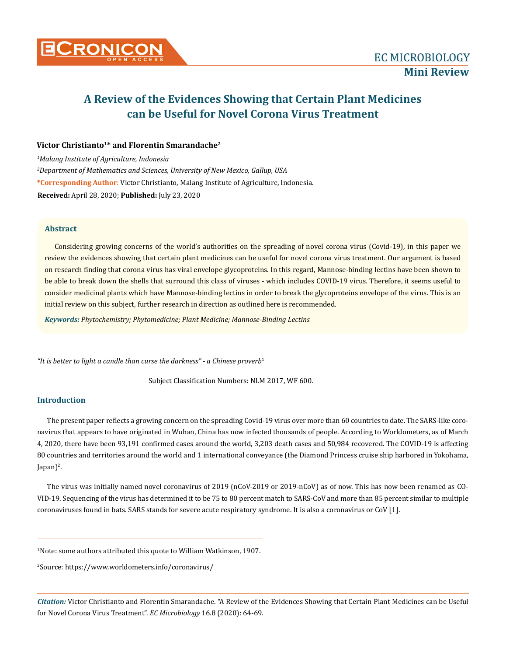

# **A Review of the Evidences Showing that Certain Plant Medicines can be Useful for Novel Corona Virus Treatment**

# Victor Christianto<sup>1\*</sup> and Florentin Smarandache<sup>2</sup>

*1 Malang Institute of Agriculture, Indonesia 2 Department of Mathematics and Sciences, University of New Mexico, Gallup, USA* **\*Corresponding Author**: Victor Christianto, Malang Institute of Agriculture, Indonesia. **Received:** April 28, 2020; **Published:** July 23, 2020

## **Abstract**

Considering growing concerns of the world's authorities on the spreading of novel corona virus (Covid-19), in this paper we review the evidences showing that certain plant medicines can be useful for novel corona virus treatment. Our argument is based on research finding that corona virus has viral envelope glycoproteins. In this regard, Mannose-binding lectins have been shown to be able to break down the shells that surround this class of viruses - which includes COVID-19 virus. Therefore, it seems useful to consider medicinal plants which have Mannose-binding lectins in order to break the glycoproteins envelope of the virus. This is an initial review on this subject, further research in direction as outlined here is recommended.

*Keywords: Phytochemistry; Phytomedicine; Plant Medicine; Mannose-Binding Lectins*

*"It is better to light a candle than curse the darkness" - a Chinese proverb*<sup>1</sup>

Subject Classification Numbers: NLM 2017, WF 600.

# **Introduction**

The present paper reflects a growing concern on the spreading Covid-19 virus over more than 60 countries to date. The SARS-like coronavirus that appears to have originated in Wuhan, China has now infected thousands of people. According to Worldometers, as of March 4, 2020, there have been 93,191 confirmed cases around the world, 3,203 death cases and 50,984 recovered. The COVID-19 is affecting 80 countries and territories around the world and 1 international conveyance (the Diamond Princess cruise ship harbored in Yokohama, Japan $)^2$ .

The virus was initially named novel coronavirus of 2019 (nCoV-2019 or 2019-nCoV) as of now. This has now been renamed as CO-VID-19. Sequencing of the virus has determined it to be 75 to 80 percent match to SARS-CoV and more than 85 percent similar to multiple coronaviruses found in bats. SARS stands for severe acute respiratory syndrome. It is also a coronavirus or CoV [1].

1 Note: some authors attributed this quote to William Watkinson, 1907.

2 Source: https://www.worldometers.info/coronavirus/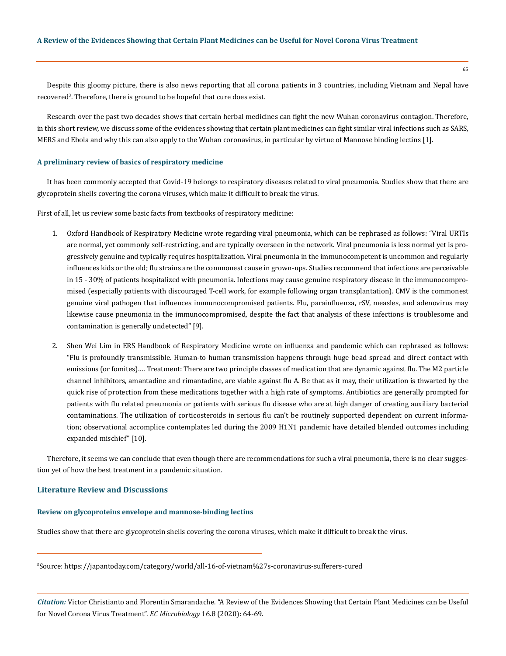Despite this gloomy picture, there is also news reporting that all corona patients in 3 countries, including Vietnam and Nepal have recovered<sup>3</sup>. Therefore, there is ground to be hopeful that cure does exist.

Research over the past two decades shows that certain herbal medicines can fight the new Wuhan coronavirus contagion. Therefore, in this short review, we discuss some of the evidences showing that certain plant medicines can fight similar viral infections such as SARS, MERS and Ebola and why this can also apply to the Wuhan coronavirus, in particular by virtue of Mannose binding lectins [1].

#### **A preliminary review of basics of respiratory medicine**

It has been commonly accepted that Covid-19 belongs to respiratory diseases related to viral pneumonia. Studies show that there are glycoprotein shells covering the corona viruses, which make it difficult to break the virus.

First of all, let us review some basic facts from textbooks of respiratory medicine:

- 1. Oxford Handbook of Respiratory Medicine wrote regarding viral pneumonia, which can be rephrased as follows: "Viral URTIs are normal, yet commonly self-restricting, and are typically overseen in the network. Viral pneumonia is less normal yet is progressively genuine and typically requires hospitalization. Viral pneumonia in the immunocompetent is uncommon and regularly influences kids or the old; flu strains are the commonest cause in grown-ups. Studies recommend that infections are perceivable in 15 - 30% of patients hospitalized with pneumonia. Infections may cause genuine respiratory disease in the immunocompromised (especially patients with discouraged T-cell work, for example following organ transplantation). CMV is the commonest genuine viral pathogen that influences immunocompromised patients. Flu, parainfluenza, rSV, measles, and adenovirus may likewise cause pneumonia in the immunocompromised, despite the fact that analysis of these infections is troublesome and contamination is generally undetected" [9].
- 2. Shen Wei Lim in ERS Handbook of Respiratory Medicine wrote on influenza and pandemic which can rephrased as follows: "Flu is profoundly transmissible. Human-to human transmission happens through huge bead spread and direct contact with emissions (or fomites).… Treatment: There are two principle classes of medication that are dynamic against flu. The M2 particle channel inhibitors, amantadine and rimantadine, are viable against flu A. Be that as it may, their utilization is thwarted by the quick rise of protection from these medications together with a high rate of symptoms. Antibiotics are generally prompted for patients with flu related pneumonia or patients with serious flu disease who are at high danger of creating auxiliary bacterial contaminations. The utilization of corticosteroids in serious flu can't be routinely supported dependent on current information; observational accomplice contemplates led during the 2009 H1N1 pandemic have detailed blended outcomes including expanded mischief" [10].

Therefore, it seems we can conclude that even though there are recommendations for such a viral pneumonia, there is no clear suggestion yet of how the best treatment in a pandemic situation.

### **Literature Review and Discussions**

## **Review on glycoproteins envelope and mannose-binding lectins**

Studies show that there are glycoprotein shells covering the corona viruses, which make it difficult to break the virus.

3 Source: https://japantoday.com/category/world/all-16-of-vietnam%27s-coronavirus-sufferers-cured

*Citation:* Victor Christianto and Florentin Smarandache. "A Review of the Evidences Showing that Certain Plant Medicines can be Useful for Novel Corona Virus Treatment". *EC Microbiology* 16.8 (2020): 64-69.

65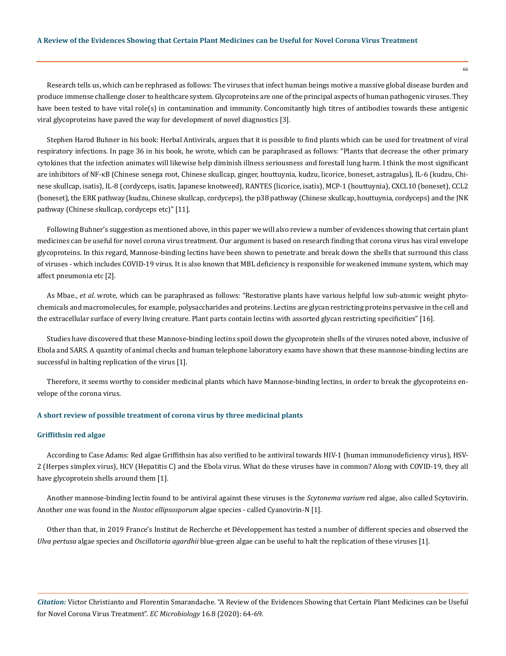Research tells us, which can be rephrased as follows: The viruses that infect human beings motive a massive global disease burden and produce immense challenge closer to healthcare system. Glycoproteins are one of the principal aspects of human pathogenic viruses. They have been tested to have vital role(s) in contamination and immunity. Concomitantly high titres of antibodies towards these antigenic viral glycoproteins have paved the way for development of novel diagnostics [3].

Stephen Harod Buhner in his book: Herbal Antivirals, argues that it is possible to find plants which can be used for treatment of viral respiratory infections. In page 36 in his book, he wrote, which can be paraphrased as follows: "Plants that decrease the other primary cytokines that the infection animates will likewise help diminish illness seriousness and forestall lung harm. I think the most significant are inhibitors of NF-κB (Chinese senega root, Chinese skullcap, ginger, houttuynia, kudzu, licorice, boneset, astragalus), IL-6 (kudzu, Chinese skullcap, isatis), IL-8 (cordyceps, isatis, Japanese knotweed), RANTES (licorice, isatis), MCP-1 (houttuynia), CXCL10 (boneset), CCL2 (boneset), the ERK pathway (kudzu, Chinese skullcap, cordyceps), the p38 pathway (Chinese skullcap, houttuynia, cordyceps) and the JNK pathway (Chinese skullcap, cordyceps etc)" [11].

Following Buhner's suggestion as mentioned above, in this paper we will also review a number of evidences showing that certain plant medicines can be useful for novel corona virus treatment. Our argument is based on research finding that corona virus has viral envelope glycoproteins. In this regard, Mannose-binding lectins have been shown to penetrate and break down the shells that surround this class of viruses - which includes COVID-19 virus. It is also known that MBL deficiency is responsible for weakened immune system, which may affect pneumonia etc [2].

As Mbae., *et al.* wrote, which can be paraphrased as follows: "Restorative plants have various helpful low sub-atomic weight phytochemicals and macromolecules, for example, polysaccharides and proteins. Lectins are glycan restricting proteins pervasive in the cell and the extracellular surface of every living creature. Plant parts contain lectins with assorted glycan restricting specificities" [16].

Studies have discovered that these Mannose-binding lectins spoil down the glycoprotein shells of the viruses noted above, inclusive of Ebola and SARS. A quantity of animal checks and human telephone laboratory exams have shown that these mannose-binding lectins are successful in halting replication of the virus [1].

Therefore, it seems worthy to consider medicinal plants which have Mannose-binding lectins, in order to break the glycoproteins envelope of the corona virus.

## **A short review of possible treatment of corona virus by three medicinal plants**

#### **Griffithsin red algae**

According to Case Adams: Red algae Griffithsin has also verified to be antiviral towards HIV-1 (human immunodeficiency virus), HSV-2 (Herpes simplex virus), HCV (Hepatitis C) and the Ebola virus. What do these viruses have in common? Along with COVID-19, they all have glycoprotein shells around them [1].

Another mannose-binding lectin found to be antiviral against these viruses is the *Scytonema varium* red algae, also called Scytovirin. Another one was found in the *Nostoc ellipsosporum* algae species - called Cyanovirin-N [1].

Other than that, in 2019 France's Institut de Recherche et Développement has tested a number of different species and observed the *Ulva pertusa* algae species and *Oscillatoria agardhii* blue-green algae can be useful to halt the replication of these viruses [1].

*Citation:* Victor Christianto and Florentin Smarandache. "A Review of the Evidences Showing that Certain Plant Medicines can be Useful for Novel Corona Virus Treatment". *EC Microbiology* 16.8 (2020): 64-69.

66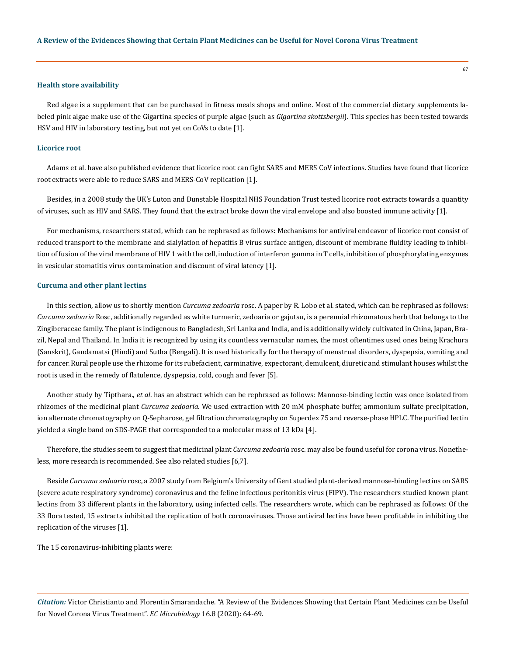#### **Health store availability**

Red algae is a supplement that can be purchased in fitness meals shops and online. Most of the commercial dietary supplements labeled pink algae make use of the Gigartina species of purple algae (such as *Gigartina skottsbergii*). This species has been tested towards HSV and HIV in laboratory testing, but not yet on CoVs to date [1].

#### **Licorice root**

Adams et al. have also published evidence that licorice root can fight SARS and MERS CoV infections. Studies have found that licorice root extracts were able to reduce SARS and MERS-CoV replication [1].

Besides, in a 2008 study the UK's Luton and Dunstable Hospital NHS Foundation Trust tested licorice root extracts towards a quantity of viruses, such as HIV and SARS. They found that the extract broke down the viral envelope and also boosted immune activity [1].

For mechanisms, researchers stated, which can be rephrased as follows: Mechanisms for antiviral endeavor of licorice root consist of reduced transport to the membrane and sialylation of hepatitis B virus surface antigen, discount of membrane fluidity leading to inhibition of fusion of the viral membrane of HIV 1 with the cell, induction of interferon gamma in T cells, inhibition of phosphorylating enzymes in vesicular stomatitis virus contamination and discount of viral latency [1].

#### **Curcuma and other plant lectins**

In this section, allow us to shortly mention *Curcuma zedoaria* rosc. A paper by R. Lobo et al. stated, which can be rephrased as follows: *Curcuma zedoaria* Rosc, additionally regarded as white turmeric, zedoaria or gajutsu, is a perennial rhizomatous herb that belongs to the Zingiberaceae family. The plant is indigenous to Bangladesh, Sri Lanka and India, and is additionally widely cultivated in China, Japan, Brazil, Nepal and Thailand. In India it is recognized by using its countless vernacular names, the most oftentimes used ones being Krachura (Sanskrit), Gandamatsi (Hindi) and Sutha (Bengali). It is used historically for the therapy of menstrual disorders, dyspepsia, vomiting and for cancer. Rural people use the rhizome for its rubefacient, carminative, expectorant, demulcent, diuretic and stimulant houses whilst the root is used in the remedy of flatulence, dyspepsia, cold, cough and fever [5].

Another study by Tipthara., *et al*. has an abstract which can be rephrased as follows: Mannose-binding lectin was once isolated from rhizomes of the medicinal plant *Curcuma zedoaria*. We used extraction with 20 mM phosphate buffer, ammonium sulfate precipitation, ion alternate chromatography on Q-Sepharose, gel filtration chromatography on Superdex 75 and reverse-phase HPLC. The purified lectin yielded a single band on SDS-PAGE that corresponded to a molecular mass of 13 kDa [4].

Therefore, the studies seem to suggest that medicinal plant *Curcuma zedoaria* rosc. may also be found useful for corona virus. Nonetheless, more research is recommended. See also related studies [6,7].

Beside *Curcuma zedoaria* rosc, a 2007 study from Belgium's University of Gent studied plant-derived mannose-binding lectins on SARS (severe acute respiratory syndrome) coronavirus and the feline infectious peritonitis virus (FIPV). The researchers studied known plant lectins from 33 different plants in the laboratory, using infected cells. The researchers wrote, which can be rephrased as follows: Of the 33 flora tested, 15 extracts inhibited the replication of both coronaviruses. Those antiviral lectins have been profitable in inhibiting the replication of the viruses [1].

The 15 coronavirus-inhibiting plants were: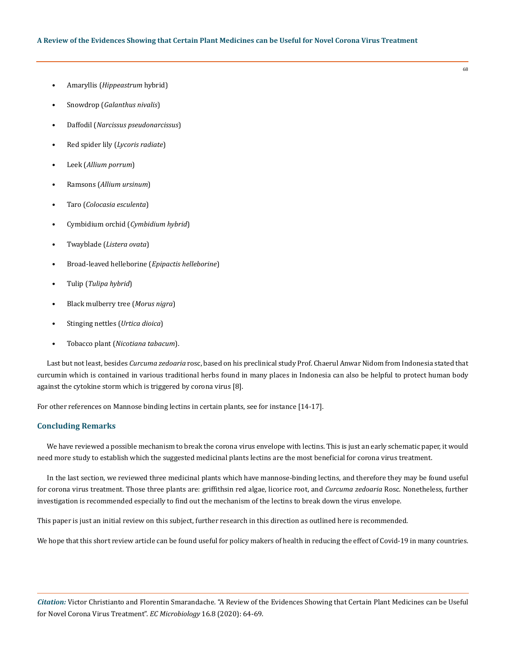- Amaryllis (*Hippeastrum* hybrid)
- Snowdrop (*Galanthus nivalis*)
- Daffodil (*Narcissus pseudonarcissus*)
- Red spider lily (*Lycoris radiate*)
- Leek (*Allium porrum*)
- Ramsons (*Allium ursinum*)
- Taro (*Colocasia esculenta*)
- Cymbidium orchid (*Cymbidium hybrid*)
- Twayblade (*Listera ovata*)
- Broad-leaved helleborine (*Epipactis helleborine*)
- Tulip (*Tulipa hybrid*)
- Black mulberry tree (*Morus nigra*)
- Stinging nettles (*Urtica dioica*)
- Tobacco plant (*Nicotiana tabacum*).

Last but not least, besides *Curcuma zedoaria* rosc, based on his preclinical study Prof. Chaerul Anwar Nidom from Indonesia stated that curcumin which is contained in various traditional herbs found in many places in Indonesia can also be helpful to protect human body against the cytokine storm which is triggered by corona virus [8].

For other references on Mannose binding lectins in certain plants, see for instance [14-17].

## **Concluding Remarks**

We have reviewed a possible mechanism to break the corona virus envelope with lectins. This is just an early schematic paper, it would need more study to establish which the suggested medicinal plants lectins are the most beneficial for corona virus treatment.

In the last section, we reviewed three medicinal plants which have mannose-binding lectins, and therefore they may be found useful for corona virus treatment. Those three plants are: griffithsin red algae, licorice root, and *Curcuma zedoaria* Rosc. Nonetheless, further investigation is recommended especially to find out the mechanism of the lectins to break down the virus envelope.

This paper is just an initial review on this subject, further research in this direction as outlined here is recommended.

We hope that this short review article can be found useful for policy makers of health in reducing the effect of Covid-19 in many countries.